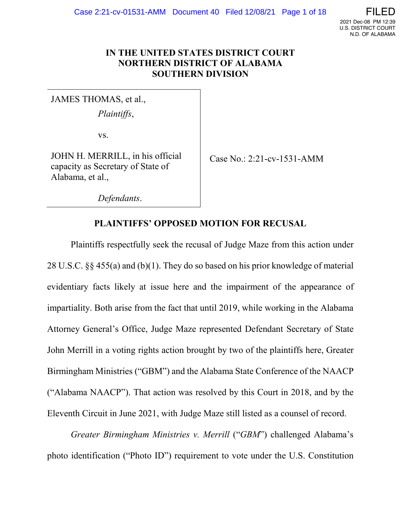

### **IN THE UNITED STATES DISTRICT COURT NORTHERN DISTRICT OF ALABAMA SOUTHERN DIVISION**

JAMES THOMAS, et al.,

*Plaintiffs*,

vs.

JOHN H. MERRILL, in his official capacity as Secretary of State of Alabama, et al.,

Case No.: 2:21-cv-1531-AMM

*Defendants*.

## **PLAINTIFFS' OPPOSED MOTION FOR RECUSAL**

Plaintiffs respectfully seek the recusal of Judge Maze from this action under 28 U.S.C. §§ 455(a) and (b)(1). They do so based on his prior knowledge of material evidentiary facts likely at issue here and the impairment of the appearance of impartiality. Both arise from the fact that until 2019, while working in the Alabama Attorney General's Office, Judge Maze represented Defendant Secretary of State John Merrill in a voting rights action brought by two of the plaintiffs here, Greater Birmingham Ministries ("GBM") and the Alabama State Conference of the NAACP ("Alabama NAACP"). That action was resolved by this Court in 2018, and by the Eleventh Circuit in June 2021, with Judge Maze still listed as a counsel of record.

*Greater Birmingham Ministries v. Merrill* ("*GBM*") challenged Alabama's photo identification ("Photo ID") requirement to vote under the U.S. Constitution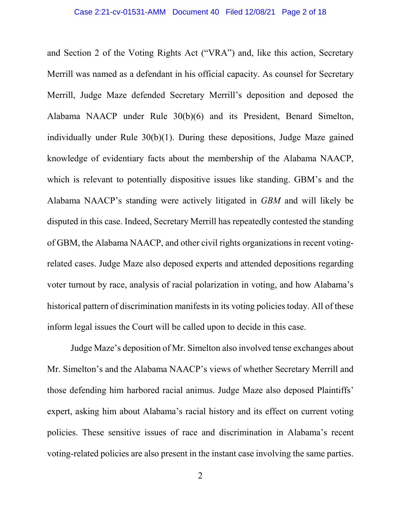and Section 2 of the Voting Rights Act ("VRA") and, like this action, Secretary Merrill was named as a defendant in his official capacity. As counsel for Secretary Merrill, Judge Maze defended Secretary Merrill's deposition and deposed the Alabama NAACP under Rule 30(b)(6) and its President, Benard Simelton, individually under Rule 30(b)(1). During these depositions, Judge Maze gained knowledge of evidentiary facts about the membership of the Alabama NAACP, which is relevant to potentially dispositive issues like standing. GBM's and the Alabama NAACP's standing were actively litigated in *GBM* and will likely be disputed in this case. Indeed, Secretary Merrill has repeatedly contested the standing of GBM, the Alabama NAACP, and other civil rights organizations in recent votingrelated cases. Judge Maze also deposed experts and attended depositions regarding voter turnout by race, analysis of racial polarization in voting, and how Alabama's historical pattern of discrimination manifests in its voting policies today. All of these inform legal issues the Court will be called upon to decide in this case.

Judge Maze's deposition of Mr. Simelton also involved tense exchanges about Mr. Simelton's and the Alabama NAACP's views of whether Secretary Merrill and those defending him harbored racial animus. Judge Maze also deposed Plaintiffs' expert, asking him about Alabama's racial history and its effect on current voting policies. These sensitive issues of race and discrimination in Alabama's recent voting-related policies are also present in the instant case involving the same parties.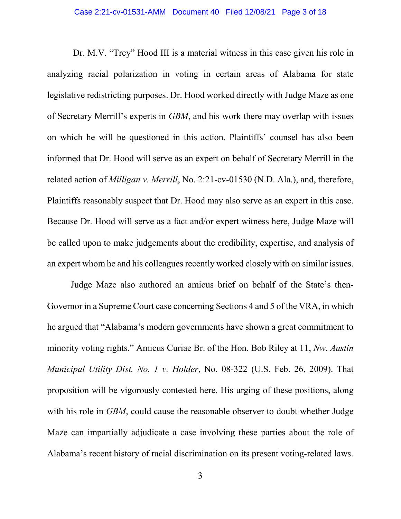Dr. M.V. "Trey" Hood III is a material witness in this case given his role in analyzing racial polarization in voting in certain areas of Alabama for state legislative redistricting purposes. Dr. Hood worked directly with Judge Maze as one of Secretary Merrill's experts in *GBM*, and his work there may overlap with issues on which he will be questioned in this action. Plaintiffs' counsel has also been informed that Dr. Hood will serve as an expert on behalf of Secretary Merrill in the related action of *Milligan v. Merrill*, No. 2:21-cv-01530 (N.D. Ala.), and, therefore, Plaintiffs reasonably suspect that Dr. Hood may also serve as an expert in this case. Because Dr. Hood will serve as a fact and/or expert witness here, Judge Maze will be called upon to make judgements about the credibility, expertise, and analysis of an expert whom he and his colleagues recently worked closely with on similar issues.

Judge Maze also authored an amicus brief on behalf of the State's then-Governor in a Supreme Court case concerning Sections 4 and 5 of the VRA, in which he argued that "Alabama's modern governments have shown a great commitment to minority voting rights." Amicus Curiae Br. of the Hon. Bob Riley at 11, *Nw. Austin Municipal Utility Dist. No. 1 v. Holder*, No. 08-322 (U.S. Feb. 26, 2009). That proposition will be vigorously contested here. His urging of these positions, along with his role in *GBM*, could cause the reasonable observer to doubt whether Judge Maze can impartially adjudicate a case involving these parties about the role of Alabama's recent history of racial discrimination on its present voting-related laws.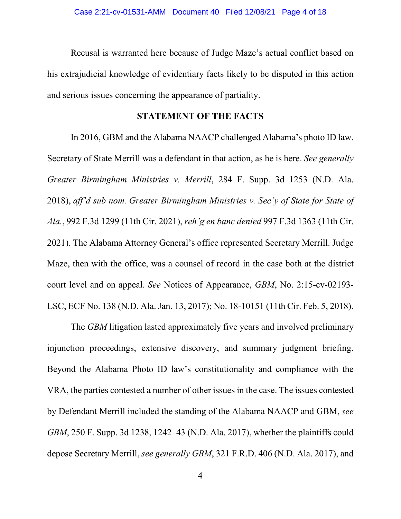Recusal is warranted here because of Judge Maze's actual conflict based on his extrajudicial knowledge of evidentiary facts likely to be disputed in this action and serious issues concerning the appearance of partiality.

### **STATEMENT OF THE FACTS**

In 2016, GBM and the Alabama NAACP challenged Alabama's photo ID law. Secretary of State Merrill was a defendant in that action, as he is here. *See generally Greater Birmingham Ministries v. Merrill*, 284 F. Supp. 3d 1253 (N.D. Ala. 2018), *aff'd sub nom. Greater Birmingham Ministries v. Sec'y of State for State of Ala.*, 992 F.3d 1299 (11th Cir. 2021), *reh'g en banc denied* 997 F.3d 1363 (11th Cir. 2021). The Alabama Attorney General's office represented Secretary Merrill. Judge Maze, then with the office, was a counsel of record in the case both at the district court level and on appeal. *See* Notices of Appearance, *GBM*, No. 2:15-cv-02193- LSC, ECF No. 138 (N.D. Ala. Jan. 13, 2017); No. 18-10151 (11th Cir. Feb. 5, 2018).

The *GBM* litigation lasted approximately five years and involved preliminary injunction proceedings, extensive discovery, and summary judgment briefing. Beyond the Alabama Photo ID law's constitutionality and compliance with the VRA, the parties contested a number of other issues in the case. The issues contested by Defendant Merrill included the standing of the Alabama NAACP and GBM, *see GBM*, 250 F. Supp. 3d 1238, 1242–43 (N.D. Ala. 2017), whether the plaintiffs could depose Secretary Merrill, *see generally GBM*, 321 F.R.D. 406 (N.D. Ala. 2017), and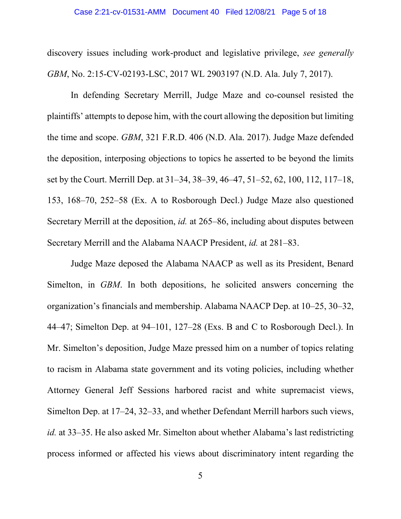#### Case 2:21-cv-01531-AMM Document 40 Filed 12/08/21 Page 5 of 18

discovery issues including work-product and legislative privilege, *see generally GBM*, No. 2:15-CV-02193-LSC, 2017 WL 2903197 (N.D. Ala. July 7, 2017).

In defending Secretary Merrill, Judge Maze and co-counsel resisted the plaintiffs' attempts to depose him, with the court allowing the deposition but limiting the time and scope. *GBM*, 321 F.R.D. 406 (N.D. Ala. 2017). Judge Maze defended the deposition, interposing objections to topics he asserted to be beyond the limits set by the Court. Merrill Dep. at 31–34, 38–39, 46–47, 51–52, 62, 100, 112, 117–18, 153, 168–70, 252–58 (Ex. A to Rosborough Decl.) Judge Maze also questioned Secretary Merrill at the deposition, *id.* at 265–86, including about disputes between Secretary Merrill and the Alabama NAACP President, *id.* at 281–83.

Judge Maze deposed the Alabama NAACP as well as its President, Benard Simelton, in *GBM*. In both depositions, he solicited answers concerning the organization's financials and membership. Alabama NAACP Dep. at 10–25, 30–32, 44–47; Simelton Dep. at 94–101, 127–28 (Exs. B and C to Rosborough Decl.). In Mr. Simelton's deposition, Judge Maze pressed him on a number of topics relating to racism in Alabama state government and its voting policies, including whether Attorney General Jeff Sessions harbored racist and white supremacist views, Simelton Dep. at 17–24, 32–33, and whether Defendant Merrill harbors such views, *id.* at 33–35. He also asked Mr. Simelton about whether Alabama's last redistricting process informed or affected his views about discriminatory intent regarding the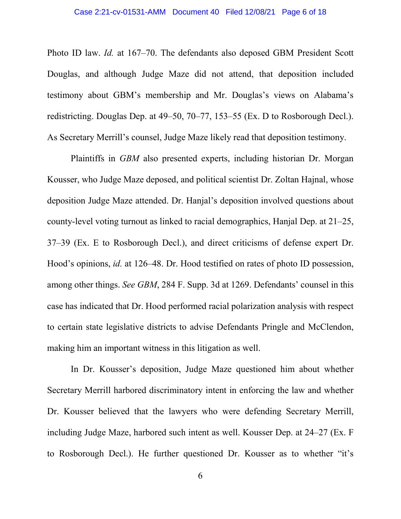Photo ID law. *Id.* at 167–70. The defendants also deposed GBM President Scott Douglas, and although Judge Maze did not attend, that deposition included testimony about GBM's membership and Mr. Douglas's views on Alabama's redistricting. Douglas Dep. at 49–50, 70–77, 153–55 (Ex. D to Rosborough Decl.). As Secretary Merrill's counsel, Judge Maze likely read that deposition testimony.

Plaintiffs in *GBM* also presented experts, including historian Dr. Morgan Kousser, who Judge Maze deposed, and political scientist Dr. Zoltan Hajnal, whose deposition Judge Maze attended. Dr. Hanjal's deposition involved questions about county-level voting turnout as linked to racial demographics, Hanjal Dep. at 21–25, 37–39 (Ex. E to Rosborough Decl.), and direct criticisms of defense expert Dr. Hood's opinions, *id.* at 126–48. Dr. Hood testified on rates of photo ID possession, among other things. *See GBM*, 284 F. Supp. 3d at 1269. Defendants' counsel in this case has indicated that Dr. Hood performed racial polarization analysis with respect to certain state legislative districts to advise Defendants Pringle and McClendon, making him an important witness in this litigation as well.

In Dr. Kousser's deposition, Judge Maze questioned him about whether Secretary Merrill harbored discriminatory intent in enforcing the law and whether Dr. Kousser believed that the lawyers who were defending Secretary Merrill, including Judge Maze, harbored such intent as well. Kousser Dep. at 24–27 (Ex. F to Rosborough Decl.). He further questioned Dr. Kousser as to whether "it's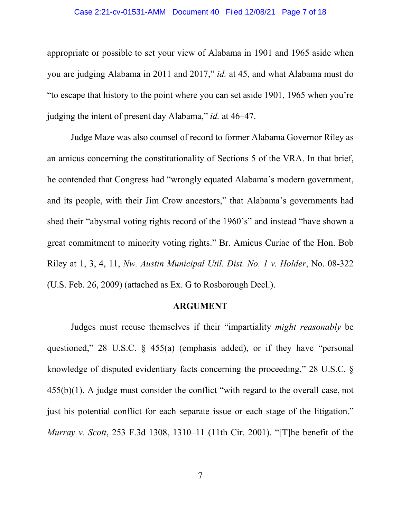#### Case 2:21-cv-01531-AMM Document 40 Filed 12/08/21 Page 7 of 18

appropriate or possible to set your view of Alabama in 1901 and 1965 aside when you are judging Alabama in 2011 and 2017," *id.* at 45, and what Alabama must do "to escape that history to the point where you can set aside 1901, 1965 when you're judging the intent of present day Alabama," *id.* at 46–47.

Judge Maze was also counsel of record to former Alabama Governor Riley as an amicus concerning the constitutionality of Sections 5 of the VRA. In that brief, he contended that Congress had "wrongly equated Alabama's modern government, and its people, with their Jim Crow ancestors," that Alabama's governments had shed their "abysmal voting rights record of the 1960's" and instead "have shown a great commitment to minority voting rights." Br. Amicus Curiae of the Hon. Bob Riley at 1, 3, 4, 11, *Nw. Austin Municipal Util. Dist. No. 1 v. Holder*, No. 08-322 (U.S. Feb. 26, 2009) (attached as Ex. G to Rosborough Decl.).

### **ARGUMENT**

Judges must recuse themselves if their "impartiality *might reasonably* be questioned," 28 U.S.C. § 455(a) (emphasis added), or if they have "personal knowledge of disputed evidentiary facts concerning the proceeding," 28 U.S.C. § 455(b)(1). A judge must consider the conflict "with regard to the overall case, not just his potential conflict for each separate issue or each stage of the litigation." *Murray v. Scott*, 253 F.3d 1308, 1310–11 (11th Cir. 2001). "[T]he benefit of the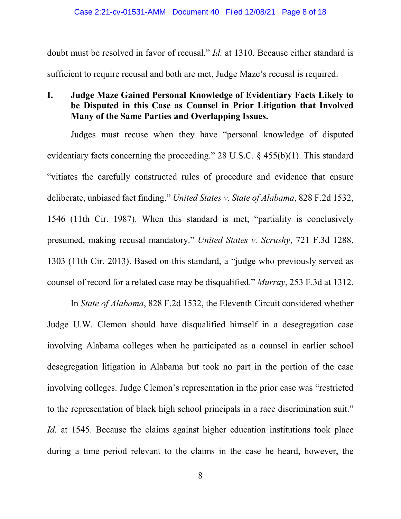doubt must be resolved in favor of recusal." *Id.* at 1310. Because either standard is sufficient to require recusal and both are met, Judge Maze's recusal is required.

## **I. Judge Maze Gained Personal Knowledge of Evidentiary Facts Likely to be Disputed in this Case as Counsel in Prior Litigation that Involved Many of the Same Parties and Overlapping Issues.**

Judges must recuse when they have "personal knowledge of disputed evidentiary facts concerning the proceeding." 28 U.S.C. § 455(b)(1). This standard "vitiates the carefully constructed rules of procedure and evidence that ensure deliberate, unbiased fact finding." *United States v. State of Alabama*, 828 F.2d 1532, 1546 (11th Cir. 1987). When this standard is met, "partiality is conclusively presumed, making recusal mandatory." *United States v. Scrushy*, 721 F.3d 1288, 1303 (11th Cir. 2013). Based on this standard, a "judge who previously served as counsel of record for a related case may be disqualified." *Murray*, 253 F.3d at 1312.

In *State of Alabama*, 828 F.2d 1532, the Eleventh Circuit considered whether Judge U.W. Clemon should have disqualified himself in a desegregation case involving Alabama colleges when he participated as a counsel in earlier school desegregation litigation in Alabama but took no part in the portion of the case involving colleges. Judge Clemon's representation in the prior case was "restricted to the representation of black high school principals in a race discrimination suit." *Id.* at 1545. Because the claims against higher education institutions took place during a time period relevant to the claims in the case he heard, however, the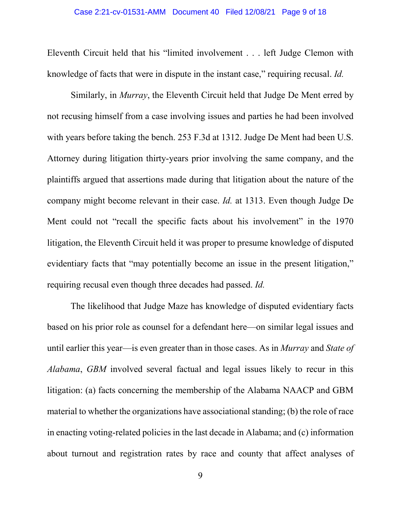Eleventh Circuit held that his "limited involvement . . . left Judge Clemon with knowledge of facts that were in dispute in the instant case," requiring recusal. *Id.*

Similarly, in *Murray*, the Eleventh Circuit held that Judge De Ment erred by not recusing himself from a case involving issues and parties he had been involved with years before taking the bench. 253 F.3d at 1312. Judge De Ment had been U.S. Attorney during litigation thirty-years prior involving the same company, and the plaintiffs argued that assertions made during that litigation about the nature of the company might become relevant in their case. *Id.* at 1313. Even though Judge De Ment could not "recall the specific facts about his involvement" in the 1970 litigation, the Eleventh Circuit held it was proper to presume knowledge of disputed evidentiary facts that "may potentially become an issue in the present litigation," requiring recusal even though three decades had passed. *Id.*

The likelihood that Judge Maze has knowledge of disputed evidentiary facts based on his prior role as counsel for a defendant here—on similar legal issues and until earlier this year—is even greater than in those cases. As in *Murray* and *State of Alabama*, *GBM* involved several factual and legal issues likely to recur in this litigation: (a) facts concerning the membership of the Alabama NAACP and GBM material to whether the organizations have associational standing; (b) the role of race in enacting voting-related policies in the last decade in Alabama; and (c) information about turnout and registration rates by race and county that affect analyses of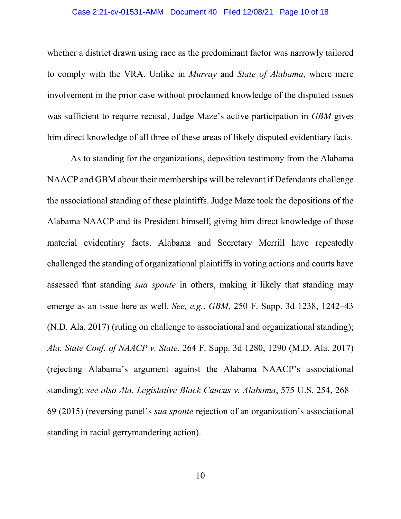#### Case 2:21-cv-01531-AMM Document 40 Filed 12/08/21 Page 10 of 18

whether a district drawn using race as the predominant factor was narrowly tailored to comply with the VRA. Unlike in *Murray* and *State of Alabama*, where mere involvement in the prior case without proclaimed knowledge of the disputed issues was sufficient to require recusal, Judge Maze's active participation in *GBM* gives him direct knowledge of all three of these areas of likely disputed evidentiary facts.

As to standing for the organizations, deposition testimony from the Alabama NAACP and GBM about their memberships will be relevant if Defendants challenge the associational standing of these plaintiffs. Judge Maze took the depositions of the Alabama NAACP and its President himself, giving him direct knowledge of those material evidentiary facts. Alabama and Secretary Merrill have repeatedly challenged the standing of organizational plaintiffs in voting actions and courts have assessed that standing *sua sponte* in others, making it likely that standing may emerge as an issue here as well. *See, e.g.*, *GBM*, 250 F. Supp. 3d 1238, 1242–43 (N.D. Ala. 2017) (ruling on challenge to associational and organizational standing); *Ala. State Conf. of NAACP v. State*, 264 F. Supp. 3d 1280, 1290 (M.D. Ala. 2017) (rejecting Alabama's argument against the Alabama NAACP's associational standing); *see also Ala. Legislative Black Caucus v. Alabama*, 575 U.S. 254, 268– 69 (2015) (reversing panel's *sua sponte* rejection of an organization's associational standing in racial gerrymandering action).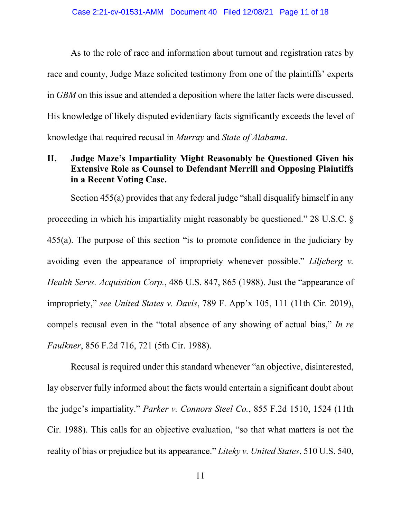As to the role of race and information about turnout and registration rates by race and county, Judge Maze solicited testimony from one of the plaintiffs' experts in *GBM* on this issue and attended a deposition where the latter facts were discussed. His knowledge of likely disputed evidentiary facts significantly exceeds the level of knowledge that required recusal in *Murray* and *State of Alabama*.

## **II. Judge Maze's Impartiality Might Reasonably be Questioned Given his Extensive Role as Counsel to Defendant Merrill and Opposing Plaintiffs in a Recent Voting Case.**

Section 455(a) provides that any federal judge "shall disqualify himself in any proceeding in which his impartiality might reasonably be questioned." 28 U.S.C. § 455(a). The purpose of this section "is to promote confidence in the judiciary by avoiding even the appearance of impropriety whenever possible." *Liljeberg v. Health Servs. Acquisition Corp.*, 486 U.S. 847, 865 (1988). Just the "appearance of impropriety," *see United States v. Davis*, 789 F. App'x 105, 111 (11th Cir. 2019), compels recusal even in the "total absence of any showing of actual bias," *In re Faulkner*, 856 F.2d 716, 721 (5th Cir. 1988).

Recusal is required under this standard whenever "an objective, disinterested, lay observer fully informed about the facts would entertain a significant doubt about the judge's impartiality." *Parker v. Connors Steel Co.*, 855 F.2d 1510, 1524 (11th Cir. 1988). This calls for an objective evaluation, "so that what matters is not the reality of bias or prejudice but its appearance." *Liteky v. United States*, 510 U.S. 540,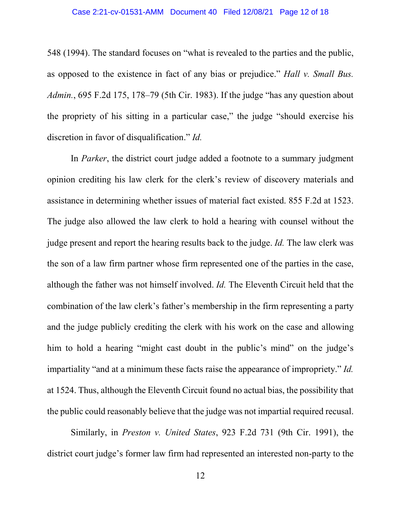#### Case 2:21-cv-01531-AMM Document 40 Filed 12/08/21 Page 12 of 18

548 (1994). The standard focuses on "what is revealed to the parties and the public, as opposed to the existence in fact of any bias or prejudice." *Hall v. Small Bus. Admin.*, 695 F.2d 175, 178–79 (5th Cir. 1983). If the judge "has any question about the propriety of his sitting in a particular case," the judge "should exercise his discretion in favor of disqualification." *Id.*

In *Parker*, the district court judge added a footnote to a summary judgment opinion crediting his law clerk for the clerk's review of discovery materials and assistance in determining whether issues of material fact existed. 855 F.2d at 1523. The judge also allowed the law clerk to hold a hearing with counsel without the judge present and report the hearing results back to the judge. *Id.* The law clerk was the son of a law firm partner whose firm represented one of the parties in the case, although the father was not himself involved. *Id.* The Eleventh Circuit held that the combination of the law clerk's father's membership in the firm representing a party and the judge publicly crediting the clerk with his work on the case and allowing him to hold a hearing "might cast doubt in the public's mind" on the judge's impartiality "and at a minimum these facts raise the appearance of impropriety." *Id.* at 1524. Thus, although the Eleventh Circuit found no actual bias, the possibility that the public could reasonably believe that the judge was not impartial required recusal.

Similarly, in *Preston v. United States*, 923 F.2d 731 (9th Cir. 1991), the district court judge's former law firm had represented an interested non-party to the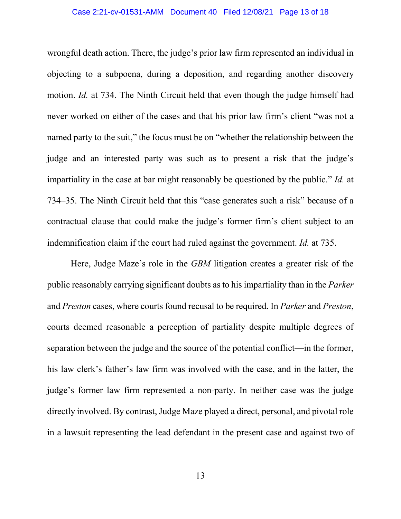#### Case 2:21-cv-01531-AMM Document 40 Filed 12/08/21 Page 13 of 18

wrongful death action. There, the judge's prior law firm represented an individual in objecting to a subpoena, during a deposition, and regarding another discovery motion. *Id.* at 734. The Ninth Circuit held that even though the judge himself had never worked on either of the cases and that his prior law firm's client "was not a named party to the suit," the focus must be on "whether the relationship between the judge and an interested party was such as to present a risk that the judge's impartiality in the case at bar might reasonably be questioned by the public." *Id.* at 734–35. The Ninth Circuit held that this "case generates such a risk" because of a contractual clause that could make the judge's former firm's client subject to an indemnification claim if the court had ruled against the government. *Id.* at 735.

Here, Judge Maze's role in the *GBM* litigation creates a greater risk of the public reasonably carrying significant doubts as to his impartiality than in the *Parker* and *Preston* cases, where courts found recusal to be required. In *Parker* and *Preston*, courts deemed reasonable a perception of partiality despite multiple degrees of separation between the judge and the source of the potential conflict—in the former, his law clerk's father's law firm was involved with the case, and in the latter, the judge's former law firm represented a non-party. In neither case was the judge directly involved. By contrast, Judge Maze played a direct, personal, and pivotal role in a lawsuit representing the lead defendant in the present case and against two of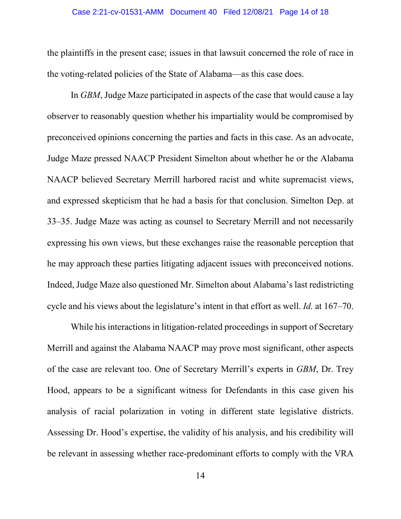#### Case 2:21-cv-01531-AMM Document 40 Filed 12/08/21 Page 14 of 18

the plaintiffs in the present case; issues in that lawsuit concerned the role of race in the voting-related policies of the State of Alabama—as this case does.

In *GBM*, Judge Maze participated in aspects of the case that would cause a lay observer to reasonably question whether his impartiality would be compromised by preconceived opinions concerning the parties and facts in this case. As an advocate, Judge Maze pressed NAACP President Simelton about whether he or the Alabama NAACP believed Secretary Merrill harbored racist and white supremacist views, and expressed skepticism that he had a basis for that conclusion. Simelton Dep. at 33–35. Judge Maze was acting as counsel to Secretary Merrill and not necessarily expressing his own views, but these exchanges raise the reasonable perception that he may approach these parties litigating adjacent issues with preconceived notions. Indeed, Judge Maze also questioned Mr. Simelton about Alabama's last redistricting cycle and his views about the legislature's intent in that effort as well. *Id.* at 167–70.

While his interactions in litigation-related proceedings in support of Secretary Merrill and against the Alabama NAACP may prove most significant, other aspects of the case are relevant too. One of Secretary Merrill's experts in *GBM*, Dr. Trey Hood, appears to be a significant witness for Defendants in this case given his analysis of racial polarization in voting in different state legislative districts. Assessing Dr. Hood's expertise, the validity of his analysis, and his credibility will be relevant in assessing whether race-predominant efforts to comply with the VRA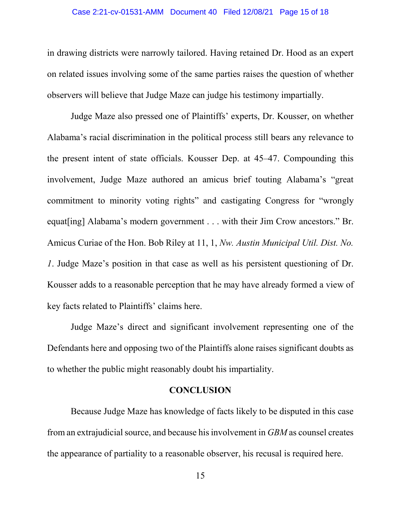#### Case 2:21-cv-01531-AMM Document 40 Filed 12/08/21 Page 15 of 18

in drawing districts were narrowly tailored. Having retained Dr. Hood as an expert on related issues involving some of the same parties raises the question of whether observers will believe that Judge Maze can judge his testimony impartially.

Judge Maze also pressed one of Plaintiffs' experts, Dr. Kousser, on whether Alabama's racial discrimination in the political process still bears any relevance to the present intent of state officials. Kousser Dep. at 45–47. Compounding this involvement, Judge Maze authored an amicus brief touting Alabama's "great commitment to minority voting rights" and castigating Congress for "wrongly equat[ing] Alabama's modern government . . . with their Jim Crow ancestors." Br. Amicus Curiae of the Hon. Bob Riley at 11, 1, *Nw. Austin Municipal Util. Dist. No. 1*. Judge Maze's position in that case as well as his persistent questioning of Dr. Kousser adds to a reasonable perception that he may have already formed a view of key facts related to Plaintiffs' claims here.

Judge Maze's direct and significant involvement representing one of the Defendants here and opposing two of the Plaintiffs alone raises significant doubts as to whether the public might reasonably doubt his impartiality.

### **CONCLUSION**

Because Judge Maze has knowledge of facts likely to be disputed in this case from an extrajudicial source, and because his involvement in *GBM* as counsel creates the appearance of partiality to a reasonable observer, his recusal is required here.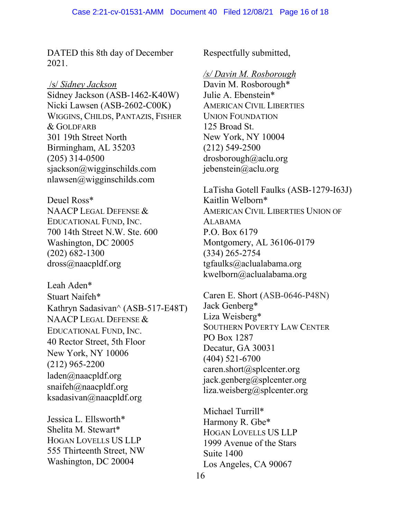DATED this 8th day of December 2021.

### /s/ *Sidney Jackson*

Sidney Jackson (ASB-1462-K40W) Nicki Lawsen (ASB-2602-C00K) WIGGINS, CHILDS, PANTAZIS, FISHER & GOLDFARB 301 19th Street North Birmingham, AL 35203 (205) 314-0500 sjackson@wigginschilds.com nlawsen@wigginschilds.com

Deuel Ross\* NAACP LEGAL DEFENSE & EDUCATIONAL FUND, INC. 700 14th Street N.W. Ste. 600 Washington, DC 20005 (202) 682-1300 dross@naacpldf.org

Leah Aden\* Stuart Naifeh\* Kathryn Sadasivan^ (ASB-517-E48T) NAACP LEGAL DEFENSE & EDUCATIONAL FUND, INC. 40 Rector Street, 5th Floor New York, NY 10006 (212) 965-2200 laden@naacpldf.org [snaifeh@naacpldf.org](mailto:snaifeh@naacpldf.org) [ksadasivan@naacpldf.org](mailto:ksadasivan@naacpldf.org)

Jessica L. Ellsworth\* Shelita M. Stewart\* HOGAN LOVELLS US LLP 555 Thirteenth Street, NW Washington, DC 20004

Respectfully submitted,

### */s/ Davin M. Rosborough*

Davin M. Rosborough\* Julie A. Ebenstein\* AMERICAN CIVIL LIBERTIES UNION FOUNDATION 125 Broad St. New York, NY 10004 (212) 549-2500 drosborough@aclu.org jebenstein@aclu.org

LaTisha Gotell Faulks (ASB-1279-I63J) Kaitlin Welborn\* AMERICAN CIVIL LIBERTIES UNION OF ALABAMA P.O. Box 6179 Montgomery, AL 36106-0179 (334) 265-2754 tgfaulks@aclualabama.org kwelborn@aclualabama.org

Caren E. Short (ASB-0646-P48N) Jack Genberg\* Liza Weisberg\* SOUTHERN POVERTY LAW CENTER PO Box 1287 Decatur, GA 30031 (404) 521-6700 caren.short@splcenter.org jack.genberg@splcenter.org liza.weisberg@splcenter.org

Michael Turrill\* Harmony R. Gbe\* HOGAN LOVELLS US LLP 1999 Avenue of the Stars Suite 1400 Los Angeles, CA 90067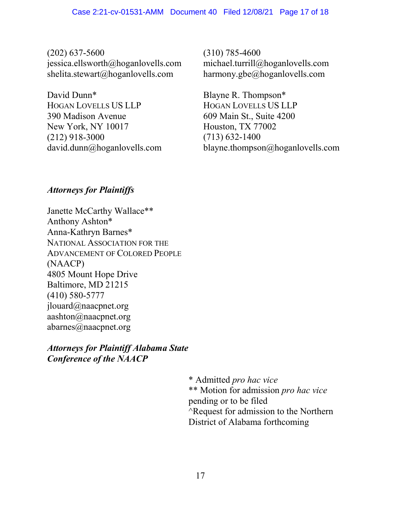(202) 637-5600 jessica.ellsworth@hoganlovells.com shelita.stewart@hoganlovells.com

David Dunn\* HOGAN LOVELLS US LLP 390 Madison Avenue New York, NY 10017 (212) 918-3000 david.dunn@hoganlovells.com (310) 785-4600 michael.turrill@hoganlovells.com harmony.gbe@hoganlovells.com

Blayne R. Thompson\* HOGAN LOVELLS US LLP 609 Main St., Suite 4200 Houston, TX 77002 (713) 632-1400 blayne.thompson@hoganlovells.com

## *Attorneys for Plaintiffs*

Janette McCarthy Wallace\*\* Anthony Ashton\* Anna-Kathryn Barnes\* NATIONAL ASSOCIATION FOR THE ADVANCEMENT OF COLORED PEOPLE (NAACP) 4805 Mount Hope Drive Baltimore, MD 21215 (410) 580-5777 jlouard@naacpnet.org aashton@naacpnet.org abarnes@naacpnet.org

*Attorneys for Plaintiff Alabama State Conference of the NAACP*

> \* Admitted *pro hac vice* \*\* Motion for admission *pro hac vice* pending or to be filed ^Request for admission to the Northern District of Alabama forthcoming